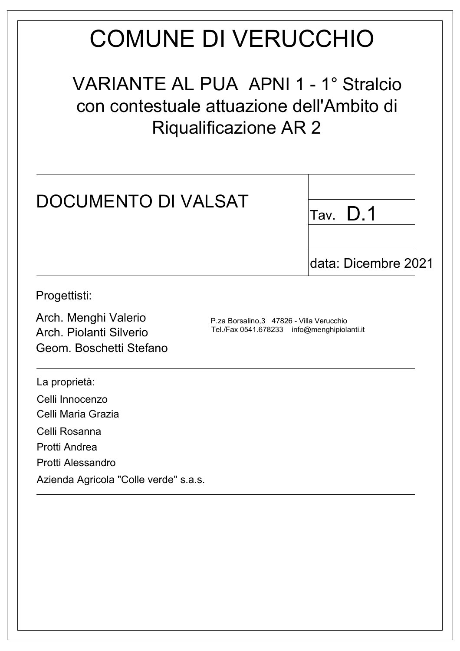# **COMUNE DI VERUCCHIO**

**VARIANTE AL PUA APNI 1 - 1° Stralcio** con contestuale attuazione dell'Ambito di **Riqualificazione AR 2** 

| <b>DOCUMENTO DI VALSAT</b>                                                 |                                                                                          | D.1<br>Tav.         |
|----------------------------------------------------------------------------|------------------------------------------------------------------------------------------|---------------------|
|                                                                            |                                                                                          | data: Dicembre 2021 |
| Progettisti:                                                               |                                                                                          |                     |
| Arch. Menghi Valerio<br>Arch. Piolanti Silverio<br>Geom. Boschetti Stefano | P.za Borsalino, 3 47826 - Villa Verucchio<br>Tel./Fax 0541.678233 info@menghipiolanti.it |                     |
| La proprietà:                                                              |                                                                                          |                     |
| Celli Innocenzo<br>Celli Maria Grazia                                      |                                                                                          |                     |
| Celli Rosanna                                                              |                                                                                          |                     |
| Protti Andrea                                                              |                                                                                          |                     |
| Protti Alessandro                                                          |                                                                                          |                     |
| Azienda Agricola "Colle verde" s.a.s.                                      |                                                                                          |                     |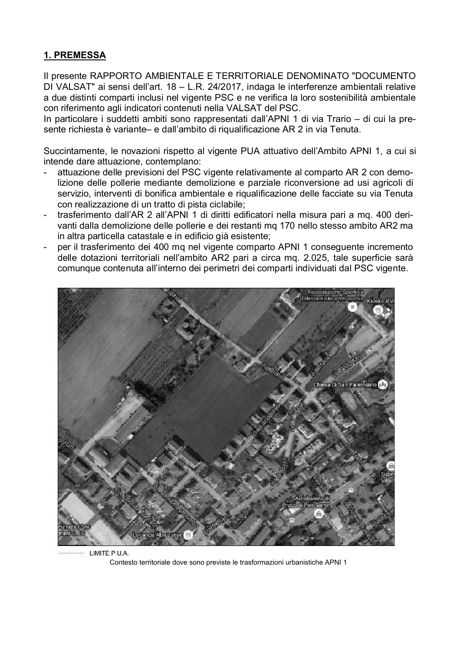## 1. PREMESSA

Il presente RAPPORTO AMBIENTALE E TERRITORIALE DENOMINATO "DOCUMENTO DI VALSAT" ai sensi dell'art. 18 - L.R. 24/2017, indaga le interferenze ambientali relative a due distinti comparti inclusi nel vigente PSC e ne verifica la loro sostenibilità ambientale con riferimento agli indicatori contenuti nella VALSAT del PSC.

In particolare i suddetti ambiti sono rappresentati dall'APNI 1 di via Trario – di cui la presente richiesta è variante- e dall'ambito di rigualificazione AR 2 in via Tenuta.

Succintamente, le novazioni rispetto al vigente PUA attuativo dell'Ambito APNI 1, a cui si intende dare attuazione, contemplano:

- attuazione delle previsioni del PSC vigente relativamente al comparto AR 2 con demolizione delle pollerie mediante demolizione e parziale riconversione ad usi agricoli di servizio, interventi di bonifica ambientale e riqualificazione delle facciate su via Tenuta con realizzazione di un tratto di pista ciclabile:
- trasferimento dall'AR 2 all'APNI 1 di diritti edificatori nella misura pari a mg. 400 derivanti dalla demolizione delle pollerie e dei restanti mg 170 nello stesso ambito AR2 ma in altra particella catastale e in edificio già esistente;
- per il trasferimento dei 400 mg nel vigente comparto APNI 1 conseguente incremento delle dotazioni territoriali nell'ambito AR2 pari a circa mq. 2.025, tale superficie sarà comunque contenuta all'interno dei perimetri dei comparti individuati dal PSC vigente.



LIMITE P.U.A. Contesto territoriale dove sono previste le trasformazioni urbanistiche APNI 1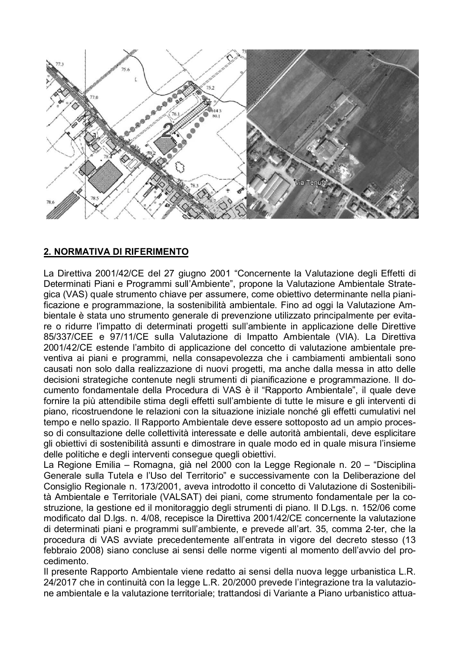

## 2. NORMATIVA DI RIFERIMENTO

La Direttiva 2001/42/CE del 27 giugno 2001 "Concernente la Valutazione degli Effetti di Determinati Piani e Programmi sull'Ambiente", propone la Valutazione Ambientale Strategica (VAS) quale strumento chiave per assumere, come obiettivo determinante nella pianificazione e programmazione, la sostenibilità ambientale. Fino ad oggi la Valutazione Ambientale è stata uno strumento generale di prevenzione utilizzato principalmente per evitare o ridurre l'impatto di determinati progetti sull'ambiente in applicazione delle Direttive 85/337/CEE e 97/11/CE sulla Valutazione di Impatto Ambientale (VIA). La Direttiva 2001/42/CE estende l'ambito di applicazione del concetto di valutazione ambientale preventiva ai piani e programmi, nella consapevolezza che i cambiamenti ambientali sono causati non solo dalla realizzazione di nuovi progetti, ma anche dalla messa in atto delle decisioni strategiche contenute negli strumenti di pianificazione e programmazione. Il documento fondamentale della Procedura di VAS è il "Rapporto Ambientale", il quale deve fornire la più attendibile stima degli effetti sull'ambiente di tutte le misure e gli interventi di piano, ricostruendone le relazioni con la situazione iniziale nonché gli effetti cumulativi nel tempo e nello spazio. Il Rapporto Ambientale deve essere sottoposto ad un ampio processo di consultazione delle collettività interessate e delle autorità ambientali, deve esplicitare gli obiettivi di sostenibilità assunti e dimostrare in quale modo ed in quale misura l'insieme delle politiche e degli interventi consegue quegli obiettivi.

La Regione Emilia - Romagna, già nel 2000 con la Legge Regionale n. 20 - "Disciplina Generale sulla Tutela e l'Uso del Territorio" e successivamente con la Deliberazione del Consiglio Regionale n. 173/2001, aveva introdotto il concetto di Valutazione di Sostenibilità Ambientale e Territoriale (VALSAT) dei piani, come strumento fondamentale per la costruzione, la gestione ed il monitoraggio degli strumenti di piano. Il D.Lgs. n. 152/06 come modificato dal D.lgs. n. 4/08, recepisce la Direttiva 2001/42/CE concernente la valutazione di determinati piani e programmi sull'ambiente, e prevede all'art. 35, comma 2-ter, che la procedura di VAS avviate precedentemente all'entrata in vigore del decreto stesso (13 febbraio 2008) siano concluse ai sensi delle norme vigenti al momento dell'avvio del procedimento.

Il presente Rapporto Ambientale viene redatto ai sensi della nuova legge urbanistica L.R. 24/2017 che in continuità con la legge L.R. 20/2000 prevede l'integrazione tra la valutazione ambientale e la valutazione territoriale; trattandosi di Variante a Piano urbanistico attua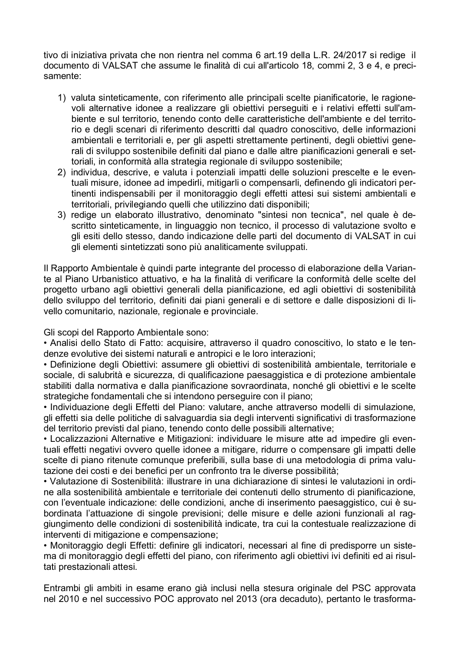tivo di iniziativa privata che non rientra nel comma 6 art.19 della L.R. 24/2017 si redige il documento di VALSAT che assume le finalità di cui all'articolo 18, commi 2, 3 e 4, e precisamente:

- 1) valuta sinteticamente, con riferimento alle principali scelte pianificatorie, le ragionevoli alternative idonee a realizzare gli obiettivi perseguiti e i relativi effetti sull'ambiente e sul territorio, tenendo conto delle caratteristiche dell'ambiente e del territorio e degli scenari di riferimento descritti dal quadro conoscitivo, delle informazioni ambientali e territoriali e, per gli aspetti strettamente pertinenti, degli objettivi generali di sviluppo sostenibile definiti dal piano e dalle altre pianificazioni generali e settoriali, in conformità alla strategia regionale di sviluppo sostenibile:
- 2) individua, descrive, e valuta i potenziali impatti delle soluzioni prescelte e le eventuali misure, idonee ad impedirli, mitigarli o compensarli, definendo gli indicatori pertinenti indispensabili per il monitoraggio degli effetti attesi sui sistemi ambientali e territoriali, privilegiando quelli che utilizzino dati disponibili:
- 3) redige un elaborato illustrativo, denominato "sintesi non tecnica", nel quale è descritto sinteticamente, in linguaggio non tecnico, il processo di valutazione svolto e gli esiti dello stesso, dando indicazione delle parti del documento di VALSAT in cui gli elementi sintetizzati sono più analiticamente sviluppati.

Il Rapporto Ambientale è quindi parte integrante del processo di elaborazione della Variante al Piano Urbanistico attuativo, e ha la finalità di verificare la conformità delle scelte del progetto urbano agli obiettivi generali della pianificazione, ed agli obiettivi di sostenibilità dello sviluppo del territorio, definiti dai piani generali e di settore e dalle disposizioni di livello comunitario, nazionale, regionale e provinciale.

Gli scopi del Rapporto Ambientale sono:

· Analisi dello Stato di Fatto: acquisire, attraverso il quadro conoscitivo, lo stato e le tendenze evolutive dei sistemi naturali e antropici e le loro interazioni:

• Definizione degli Obiettivi: assumere gli obiettivi di sostenibilità ambientale, territoriale e sociale, di salubrità e sicurezza, di qualificazione paesaggistica e di protezione ambientale stabiliti dalla normativa e dalla pianificazione sovraordinata, nonché gli obiettivi e le scelte strategiche fondamentali che si intendono perseguire con il piano;

· Individuazione degli Effetti del Piano: valutare, anche attraverso modelli di simulazione, gli effetti sia delle politiche di salvaguardia sia degli interventi significativi di trasformazione del territorio previsti dal piano, tenendo conto delle possibili alternative;

• Localizzazioni Alternative e Mitigazioni: individuare le misure atte ad impedire gli eventuali effetti negativi ovvero quelle idonee a mitigare, ridurre o compensare gli impatti delle scelte di piano ritenute comunque preferibili, sulla base di una metodologia di prima valutazione dei costi e dei benefici per un confronto tra le diverse possibilità;

• Valutazione di Sostenibilità: illustrare in una dichiarazione di sintesi le valutazioni in ordine alla sostenibilità ambientale e territoriale dei contenuti dello strumento di pianificazione. con l'eventuale indicazione: delle condizioni, anche di inserimento paesaggistico, cui è subordinata l'attuazione di singole previsioni: delle misure e delle azioni funzionali al raggiungimento delle condizioni di sostenibilità indicate, tra cui la contestuale realizzazione di interventi di mitigazione e compensazione;

• Monitoraggio degli Effetti: definire gli indicatori, necessari al fine di predisporre un sistema di monitoraggio degli effetti del piano, con riferimento agli obiettivi ivi definiti ed ai risultati prestazionali attesi.

Entrambi gli ambiti in esame erano già inclusi nella stesura originale del PSC approvata nel 2010 e nel successivo POC approvato nel 2013 (ora decaduto), pertanto le trasforma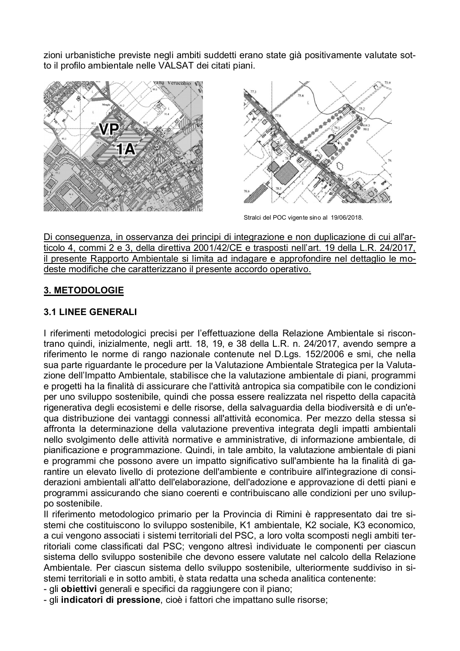zioni urbanistiche previste negli ambiti suddetti erano state già positivamente valutate sotto il profilo ambientale nelle VALSAT dei citati piani.





Stralci del POC vigente sino al 19/06/2018.

Di conseguenza, in osservanza dei principi di integrazione e non duplicazione di cui all'articolo 4, commi 2 e 3, della direttiva 2001/42/CE e trasposti nell'art. 19 della L.R. 24/2017, il presente Rapporto Ambientale si limita ad indagare e approfondire nel dettaglio le modeste modifiche che caratterizzano il presente accordo operativo.

#### 3. METODOLOGIE

#### **3.1 LINEE GENERALI**

I riferimenti metodologici precisi per l'effettuazione della Relazione Ambientale si riscontrano quindi, inizialmente, negli artt. 18, 19, e 38 della L.R. n. 24/2017, avendo sempre a riferimento le norme di rango nazionale contenute nel D.Lgs. 152/2006 e smi, che nella sua parte riguardante le procedure per la Valutazione Ambientale Strategica per la Valutazione dell'Impatto Ambientale, stabilisce che la valutazione ambientale di piani, programmi e progetti ha la finalità di assicurare che l'attività antropica sia compatibile con le condizioni per uno sviluppo sostenibile, quindi che possa essere realizzata nel rispetto della capacità rigenerativa degli ecosistemi e delle risorse, della salvaguardia della biodiversità e di un'equa distribuzione dei vantaggi connessi all'attività economica. Per mezzo della stessa si affronta la determinazione della valutazione preventiva integrata degli impatti ambientali nello svolgimento delle attività normative e amministrative, di informazione ambientale, di pianificazione e programmazione. Quindi, in tale ambito, la valutazione ambientale di piani e programmi che possono avere un impatto significativo sull'ambiente ha la finalità di garantire un elevato livello di protezione dell'ambiente e contribuire all'integrazione di considerazioni ambientali all'atto dell'elaborazione, dell'adozione e approvazione di detti piani e programmi assicurando che siano coerenti e contribuiscano alle condizioni per uno sviluppo sostenibile.

Il riferimento metodologico primario per la Provincia di Rimini è rappresentato dai tre sistemi che costituiscono lo sviluppo sostenibile, K1 ambientale, K2 sociale, K3 economico, a cui vengono associati i sistemi territoriali del PSC, a loro volta scomposti negli ambiti territoriali come classificati dal PSC; vengono altresì individuate le componenti per ciascun sistema dello sviluppo sostenibile che devono essere valutate nel calcolo della Relazione Ambientale. Per ciascun sistema dello sviluppo sostenibile, ulteriormente suddiviso in sistemi territoriali e in sotto ambiti, è stata redatta una scheda analitica contenente:

- gli obiettivi generali e specifici da raggiungere con il piano;

- gli indicatori di pressione, cioè i fattori che impattano sulle risorse;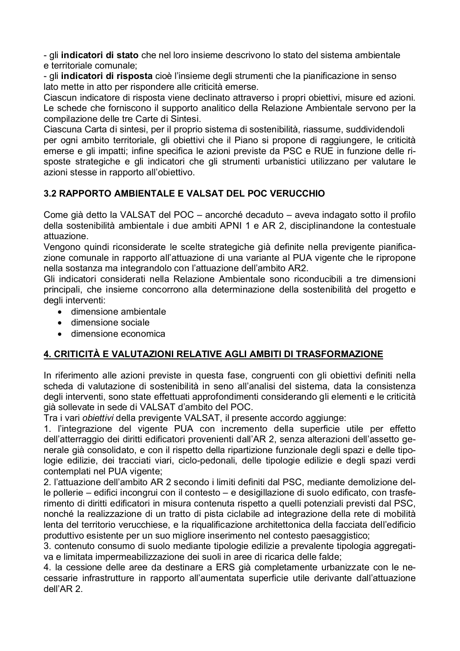- gli indicatori di stato che nel loro insieme descrivono lo stato del sistema ambientale e territoriale comunale:

- gli indicatori di risposta cioè l'insieme degli strumenti che la pianificazione in senso lato mette in atto per rispondere alle criticità emerse.

Ciascun indicatore di risposta viene declinato attraverso i propri obiettivi, misure ed azioni. Le schede che forniscono il supporto analitico della Relazione Ambientale servono per la compilazione delle tre Carte di Sintesi.

Ciascuna Carta di sintesi, per il proprio sistema di sostenibilità, riassume, suddividendoli per ogni ambito territoriale, gli obiettivi che il Piano si propone di raggiungere, le criticità emerse e gli impatti; infine specifica le azioni previste da PSC e RUE in funzione delle risposte strategiche e gli indicatori che gli strumenti urbanistici utilizzano per valutare le azioni stesse in rapporto all'obiettivo.

# 3.2 RAPPORTO AMBIENTALE E VALSAT DEL POC VERUCCHIO

Come già detto la VALSAT del POC - ancorché decaduto - aveva indagato sotto il profilo della sostenibilità ambientale i due ambiti APNI 1 e AR 2, disciplinandone la contestuale attuazione.

Vengono quindi riconsiderate le scelte strategiche già definite nella previgente pianificazione comunale in rapporto all'attuazione di una variante al PUA vigente che le ripropone nella sostanza ma integrandolo con l'attuazione dell'ambito AR2.

Gli indicatori considerati nella Relazione Ambientale sono riconducibili a tre dimensioni principali, che insieme concorrono alla determinazione della sostenibilità del progetto e degli interventi:

- dimensione ambientale
- dimensione sociale
- dimensione economica

# 4. CRITICITÀ E VALUTAZIONI RELATIVE AGLI AMBITI DI TRASFORMAZIONE

In riferimento alle azioni previste in questa fase, congruenti con gli obiettivi definiti nella scheda di valutazione di sostenibilità in seno all'analisi del sistema, data la consistenza degli interventi, sono state effettuati approfondimenti considerando gli elementi e le criticità già sollevate in sede di VALSAT d'ambito del POC.

Tra i vari obiettivi della previgente VALSAT, il presente accordo aggiunge:

1. l'integrazione del vigente PUA con incremento della superficie utile per effetto dell'atterraggio dei diritti edificatori provenienti dall'AR 2, senza alterazioni dell'assetto generale già consolidato, e con il rispetto della ripartizione funzionale degli spazi e delle tipologie edilizie, dei tracciati viari, ciclo-pedonali, delle tipologie edilizie e degli spazi verdi contemplati nel PUA vigente;

2. l'attuazione dell'ambito AR 2 secondo i limiti definiti dal PSC, mediante demolizione delle pollerie – edifici incongrui con il contesto – e desigillazione di suolo edificato, con trasferimento di diritti edificatori in misura contenuta rispetto a quelli potenziali previsti dal PSC. nonché la realizzazione di un tratto di pista ciclabile ad integrazione della rete di mobilità lenta del territorio verucchiese, e la rigualificazione architettonica della facciata dell'edificio produttivo esistente per un suo migliore inserimento nel contesto paesaggistico;

3, contenuto consumo di suolo mediante tipologie edilizie a prevalente tipologia aggregativa e limitata impermeabilizzazione dei suoli in aree di ricarica delle falde;

4. la cessione delle aree da destinare a ERS già completamente urbanizzate con le necessarie infrastrutture in rapporto all'aumentata superficie utile derivante dall'attuazione dell'AR 2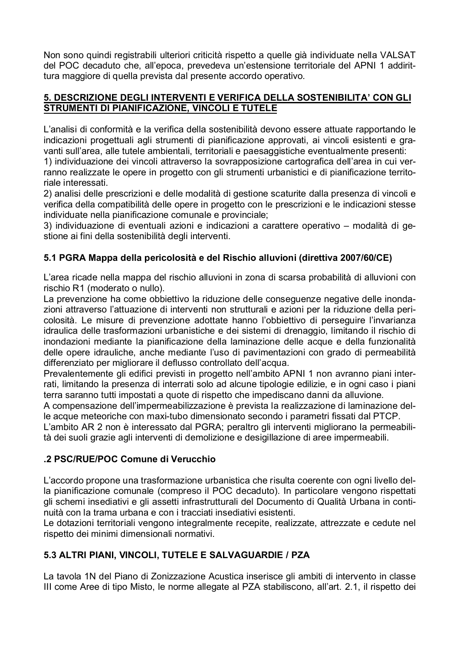Non sono quindi registrabili ulteriori criticità rispetto a quelle già individuate nella VALSAT del POC decaduto che, all'epoca, prevedeva un'estensione territoriale del APNI 1 addirittura maggiore di quella prevista dal presente accordo operativo.

#### 5. DESCRIZIONE DEGLI INTERVENTI E VERIFICA DELLA SOSTENIBILITA' CON GLI STRUMENTI DI PIANIFICAZIONE, VINCOLI E TUTELE

L'analisi di conformità e la verifica della sostenibilità devono essere attuate rapportando le indicazioni progettuali agli strumenti di pianificazione approvati, ai vincoli esistenti e gravanti sull'area, alle tutele ambientali, territoriali e paesaggistiche eventualmente presenti:

1) individuazione dei vincoli attraverso la sovrapposizione cartografica dell'area in cui verranno realizzate le opere in progetto con gli strumenti urbanistici e di pianificazione territoriale interessati

2) analisi delle prescrizioni e delle modalità di gestione scaturite dalla presenza di vincoli e verifica della compatibilità delle opere in progetto con le prescrizioni e le indicazioni stesse individuate nella pianificazione comunale e provinciale;

3) individuazione di eventuali azioni e indicazioni a carattere operativo - modalità di gestione ai fini della sostenibilità degli interventi.

# 5.1 PGRA Mappa della pericolosità e del Rischio alluvioni (direttiva 2007/60/CE)

L'area ricade nella mappa del rischio alluvioni in zona di scarsa probabilità di alluvioni con rischio R1 (moderato o nullo).

La prevenzione ha come obbiettivo la riduzione delle conseguenze negative delle inondazioni attraverso l'attuazione di interventi non strutturali e azioni per la riduzione della pericolosità. Le misure di prevenzione adottate hanno l'obbiettivo di perseguire l'invarianza idraulica delle trasformazioni urbanistiche e dei sistemi di drenaggio, limitando il rischio di inondazioni mediante la pianificazione della laminazione delle acque e della funzionalità delle opere idrauliche, anche mediante l'uso di pavimentazioni con grado di permeabilità differenziato per migliorare il deflusso controllato dell'acqua.

Prevalentemente gli edifici previsti in progetto nell'ambito APNI 1 non avranno piani interrati, limitando la presenza di interrati solo ad alcune tipologie edilizie, e in ogni caso i piani terra saranno tutti impostati a quote di rispetto che impediscano danni da alluvione.

A compensazione dell'impermeabilizzazione è prevista la realizzazione di laminazione delle acque meteoriche con maxi-tubo dimensionato secondo i parametri fissati dal PTCP.

L'ambito AR 2 non è interessato dal PGRA; peraltro gli interventi migliorano la permeabilità dei suoli grazie agli interventi di demolizione e desigillazione di aree impermeabili.

# .2 PSC/RUE/POC Comune di Verucchio

L'accordo propone una trasformazione urbanistica che risulta coerente con ogni livello della pianificazione comunale (compreso il POC decaduto). In particolare vengono rispettati gli schemi insediativi e gli assetti infrastrutturali del Documento di Qualità Urbana in continuità con la trama urbana e con i tracciati insediativi esistenti.

Le dotazioni territoriali vengono integralmente recepite, realizzate, attrezzate e cedute nel rispetto dei minimi dimensionali normativi.

# 5.3 ALTRI PIANI, VINCOLI, TUTELE E SALVAGUARDIE / PZA

La tavola 1N del Piano di Zonizzazione Acustica inserisce gli ambiti di intervento in classe III come Aree di tipo Misto, le norme allegate al PZA stabiliscono, all'art. 2.1, il rispetto dei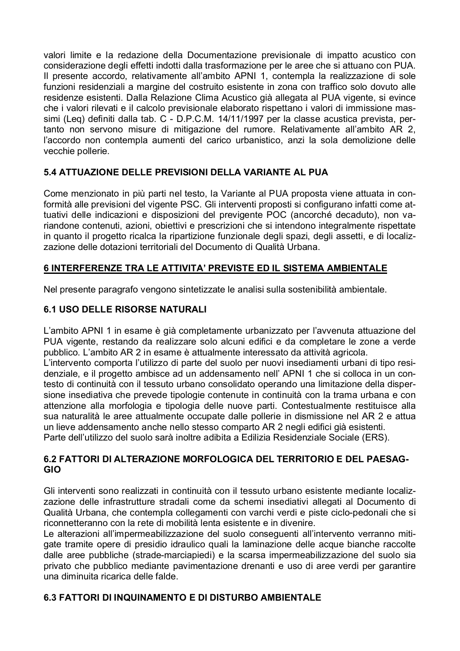valori limite e la redazione della Documentazione previsionale di impatto acustico con considerazione degli effetti indotti dalla trasformazione per le aree che si attuano con PUA. Il presente accordo, relativamente all'ambito APNI 1, contempla la realizzazione di sole funzioni residenziali a margine del costruito esistente in zona con traffico solo dovuto alle residenze esistenti. Dalla Relazione Clima Acustico già allegata al PUA vigente, si evince che i valori rilevati e il calcolo previsionale elaborato rispettano i valori di immissione massimi (Leg) definiti dalla tab. C - D.P.C.M. 14/11/1997 per la classe acustica prevista, pertanto non servono misure di mitigazione del rumore. Relativamente all'ambito AR 2, l'accordo non contempla aumenti del carico urbanistico, anzi la sola demolizione delle vecchie pollerie.

## 5.4 ATTUAZIONE DELLE PREVISIONI DELLA VARIANTE AL PUA

Come menzionato in più parti nel testo, la Variante al PUA proposta viene attuata in conformità alle previsioni del vigente PSC. Gli interventi proposti si configurano infatti come attuativi delle indicazioni e disposizioni del previgente POC (ancorché decaduto), non variandone contenuti, azioni, obiettivi e prescrizioni che si intendono integralmente rispettate in quanto il progetto ricalca la ripartizione funzionale degli spazi, degli assetti, e di localizzazione delle dotazioni territoriali del Documento di Qualità Urbana.

## 6 INTERFERENZE TRA LE ATTIVITA' PREVISTE ED IL SISTEMA AMBIENTALE

Nel presente paragrafo vengono sintetizzate le analisi sulla sostenibilità ambientale.

## **6.1 USO DELLE RISORSE NATURALI**

L'ambito APNI 1 in esame è già completamente urbanizzato per l'avvenuta attuazione del PUA vigente, restando da realizzare solo alcuni edifici e da completare le zone a verde pubblico. L'ambito AR 2 in esame è attualmente interessato da attività agricola.

L'intervento comporta l'utilizzo di parte del suolo per nuovi insediamenti urbani di tipo residenziale, e il progetto ambisce ad un addensamento nell' APNI 1 che si colloca in un contesto di continuità con il tessuto urbano consolidato operando una limitazione della dispersione insediativa che prevede tipologie contenute in continuità con la trama urbana e con attenzione alla morfologia e tipologia delle nuove parti. Contestualmente restituisce alla sua naturalità le aree attualmente occupate dalle pollerie in dismissione nel AR 2 e attua un lieve addensamento anche nello stesso comparto AR 2 negli edifici già esistenti. Parte dell'utilizzo del suolo sarà inoltre adibita a Edilizia Residenziale Sociale (ERS).

#### 6.2 FATTORI DI ALTERAZIONE MORFOLOGICA DEL TERRITORIO E DEL PAESAG-**GIO**

Gli interventi sono realizzati in continuità con il tessuto urbano esistente mediante localizzazione delle infrastrutture stradali come da schemi insediativi allegati al Documento di Qualità Urbana, che contempla collegamenti con varchi verdi e piste ciclo-pedonali che si riconnetteranno con la rete di mobilità lenta esistente e in divenire.

Le alterazioni all'impermeabilizzazione del suolo conseguenti all'intervento verranno mitigate tramite opere di presidio idraulico quali la laminazione delle acque bianche raccolte dalle aree pubbliche (strade-marciapiedi) e la scarsa impermeabilizzazione del suolo sia privato che pubblico mediante pavimentazione drenanti e uso di aree verdi per garantire una diminuita ricarica delle falde.

#### 6.3 FATTORI DI INQUINAMENTO E DI DISTURBO AMBIENTALE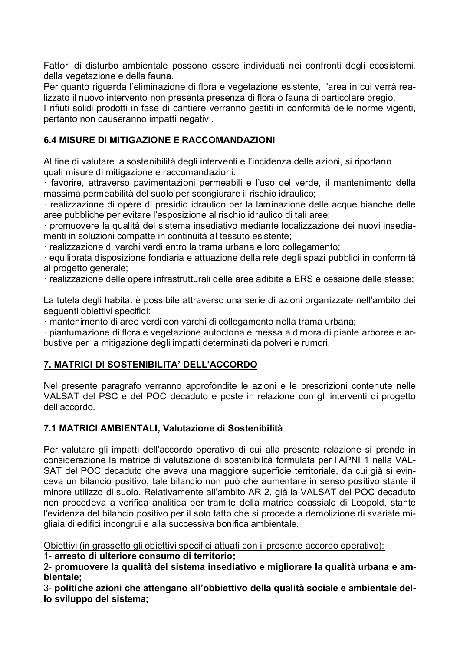Fattori di disturbo ambientale possono essere individuati nei confronti degli ecosistemi, della vegetazione e della fauna.

Per quanto riguarda l'eliminazione di flora e vegetazione esistente, l'area in cui verrà realizzato il nuovo intervento non presenta presenza di flora o fauna di particolare pregio.

I rifiuti solidi prodotti in fase di cantiere verranno gestiti in conformità delle norme vigenti, pertanto non causeranno impatti negativi.

## 6.4 MISURE DI MITIGAZIONE E RACCOMANDAZIONI

Al fine di valutare la sostenibilità degli interventi e l'incidenza delle azioni, si riportano quali misure di mitigazione e raccomandazioni:

· favorire, attraverso pavimentazioni permeabili e l'uso del verde, il mantenimento della massima permeabilità del suolo per scongiurare il rischio idraulico;

· realizzazione di opere di presidio idraulico per la laminazione delle acque bianche delle aree pubbliche per evitare l'esposizione al rischio idraulico di tali aree;

· promuovere la qualità del sistema insediativo mediante localizzazione dei nuovi insediamenti in soluzioni compatte in continuità al tessuto esistente;

· realizzazione di varchi verdi entro la trama urbana e loro collegamento:

equilibrata disposizione fondiaria e attuazione della rete degli spazi pubblici in conformità al progetto generale:

· realizzazione delle opere infrastrutturali delle aree adibite a ERS e cessione delle stesse;

La tutela degli habitat è possibile attraverso una serie di azioni organizzate nell'ambito dei sequenti obiettivi specifici:

· mantenimento di aree verdi con varchi di collegamento nella trama urbana;

piantumazione di flora e vegetazione autoctona e messa a dimora di piante arboree e arbustive per la mitigazione degli impatti determinati da polveri e rumori.

# 7. MATRICI DI SOSTENIBILITA' DELL'ACCORDO

Nel presente paragrafo verranno approfondite le azioni e le prescrizioni contenute nelle VALSAT del PSC e del POC decaduto e poste in relazione con gli interventi di progetto dell'accordo.

#### 7.1 MATRICI AMBIENTALI, Valutazione di Sostenibilità

Per valutare gli impatti dell'accordo operativo di cui alla presente relazione si prende in considerazione la matrice di valutazione di sostenibilità formulata per l'APNI 1 nella VAL-SAT del POC decaduto che aveva una maggiore superficie territoriale, da cui già si evinceva un bilancio positivo; tale bilancio non può che aumentare in senso positivo stante il minore utilizzo di suolo. Relativamente all'ambito AR 2, già la VALSAT del POC decaduto non procedeva a verifica analitica per tramite della matrice coassiale di Leopold, stante l'evidenza del bilancio positivo per il solo fatto che si procede a demolizione di svariate migliaia di edifici incongrui e alla successiva bonifica ambientale.

Obiettivi (in grassetto gli obiettivi specifici attuati con il presente accordo operativo):

1- arresto di ulteriore consumo di territorio;

2- promuovere la qualità del sistema insediativo e migliorare la qualità urbana e ambientale:

3- politiche azioni che attengano all'obbiettivo della qualità sociale e ambientale dello sviluppo del sistema;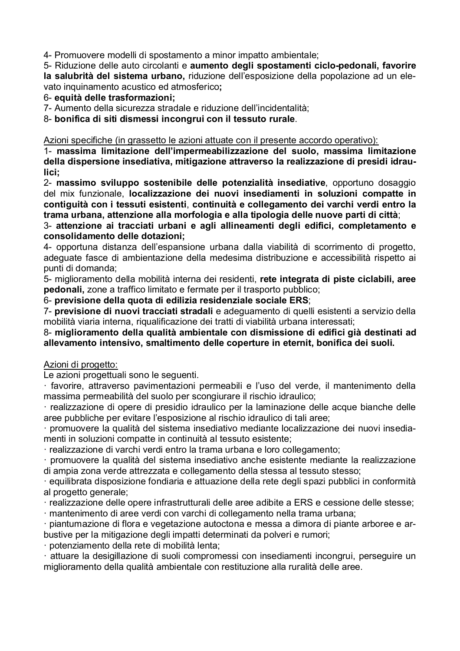4- Promuovere modelli di spostamento a minor impatto ambientale;

5- Riduzione delle auto circolanti e aumento degli spostamenti ciclo-pedonali, favorire la salubrità del sistema urbano, riduzione dell'esposizione della popolazione ad un elevato inquinamento acustico ed atmosferico;

6- equità delle trasformazioni:

7- Aumento della sicurezza stradale e riduzione dell'incidentalità:

8- bonifica di siti dismessi incongrui con il tessuto rurale.

Azioni specifiche (in grassetto le azioni attuate con il presente accordo operativo):

1- massima limitazione dell'impermeabilizzazione del suolo, massima limitazione della dispersione insediativa, mitigazione attraverso la realizzazione di presidi idraulici:

2- massimo sviluppo sostenibile delle potenzialità insediative, opportuno dosaggio del mix funzionale, localizzazione dei nuovi insediamenti in soluzioni compatte in contiguità con i tessuti esistenti, continuità e collegamento dei varchi verdi entro la trama urbana, attenzione alla morfologia e alla tipologia delle nuove parti di città;

3- attenzione ai tracciati urbani e agli allineamenti degli edifici, completamento e consolidamento delle dotazioni;

4- opportuna distanza dell'espansione urbana dalla viabilità di scorrimento di progetto, adeguate fasce di ambientazione della medesima distribuzione e accessibilità rispetto ai punti di domanda:

5- miglioramento della mobilità interna dei residenti, rete integrata di piste ciclabili, aree pedonali, zone a traffico limitato e fermate per il trasporto pubblico;

6- previsione della quota di edilizia residenziale sociale ERS;

7- previsione di nuovi tracciati stradali e adequamento di quelli esistenti a servizio della mobilità viaria interna, rigualificazione dei tratti di viabilità urbana interessati;

8- miglioramento della qualità ambientale con dismissione di edifici già destinati ad allevamento intensivo, smaltimento delle coperture in eternit, bonifica dei suoli.

#### Azioni di progetto:

Le azioni progettuali sono le sequenti.

· favorire, attraverso pavimentazioni permeabili e l'uso del verde, il mantenimento della massima permeabilità del suolo per scongiurare il rischio idraulico;

· realizzazione di opere di presidio idraulico per la laminazione delle acque bianche delle aree pubbliche per evitare l'esposizione al rischio idraulico di tali aree;

· promuovere la qualità del sistema insediativo mediante localizzazione dei nuovi insediamenti in soluzioni compatte in continuità al tessuto esistente;

· realizzazione di varchi verdi entro la trama urbana e loro collegamento;

promuovere la qualità del sistema insediativo anche esistente mediante la realizzazione di ampia zona verde attrezzata e collegamento della stessa al tessuto stesso;

equilibrata disposizione fondiaria e attuazione della rete degli spazi pubblici in conformità al progetto generale;

· realizzazione delle opere infrastrutturali delle aree adibite a ERS e cessione delle stesse;

· mantenimento di aree verdi con varchi di collegamento nella trama urbana;

piantumazione di flora e vegetazione autoctona e messa a dimora di piante arboree e arbustive per la mitigazione degli impatti determinati da polveri e rumori;

· potenziamento della rete di mobilità lenta:

· attuare la desigillazione di suoli compromessi con insediamenti incongrui, perseguire un miglioramento della qualità ambientale con restituzione alla ruralità delle aree.